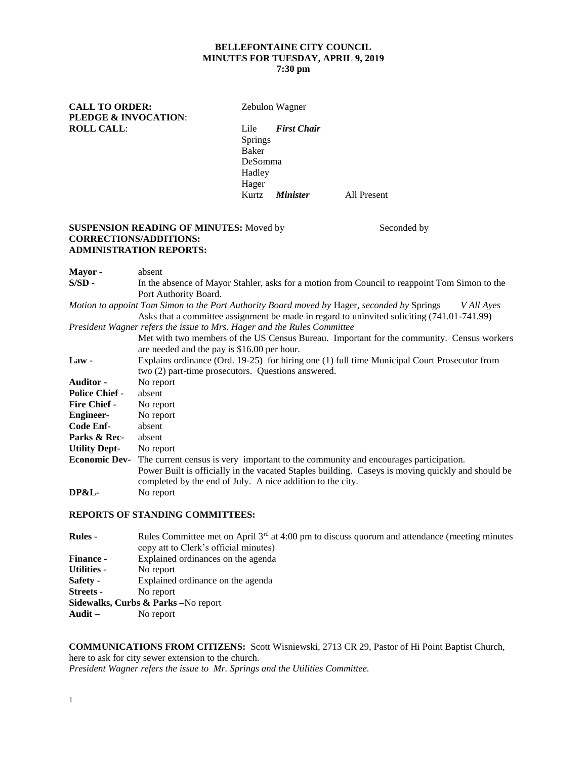# **BELLEFONTAINE CITY COUNCIL MINUTES FOR TUESDAY, APRIL 9, 2019**

# **7:30 pm**

**CALL TO ORDER:** Zebulon Wagner **PLEDGE & INVOCATION**: **ROLL CALL**: Lile *First Chair*

Springs Baker DeSomma Hadley Hager Kurtz *Minister* All Present

### **SUSPENSION READING OF MINUTES:** Moved by Seconded by **CORRECTIONS/ADDITIONS: ADMINISTRATION REPORTS:**

| In the absence of Mayor Stahler, asks for a motion from Council to reappoint Tom Simon to the<br>$S/SD -$   |  |  |  |  |  |
|-------------------------------------------------------------------------------------------------------------|--|--|--|--|--|
|                                                                                                             |  |  |  |  |  |
| Port Authority Board.                                                                                       |  |  |  |  |  |
| Motion to appoint Tom Simon to the Port Authority Board moved by Hager, seconded by Springs<br>V All Ayes   |  |  |  |  |  |
| Asks that a committee assignment be made in regard to uninvited soliciting (741.01-741.99)                  |  |  |  |  |  |
| President Wagner refers the issue to Mrs. Hager and the Rules Committee                                     |  |  |  |  |  |
| Met with two members of the US Census Bureau. Important for the community. Census workers                   |  |  |  |  |  |
| are needed and the pay is \$16.00 per hour.                                                                 |  |  |  |  |  |
| Explains ordinance (Ord. 19-25) for hiring one (1) full time Municipal Court Prosecutor from<br>$Law -$     |  |  |  |  |  |
| two (2) part-time prosecutors. Questions answered.                                                          |  |  |  |  |  |
| <b>Auditor -</b><br>No report                                                                               |  |  |  |  |  |
| <b>Police Chief -</b><br>absent                                                                             |  |  |  |  |  |
| <b>Fire Chief -</b><br>No report                                                                            |  |  |  |  |  |
| No report<br><b>Engineer-</b>                                                                               |  |  |  |  |  |
| Code Enf-<br>absent                                                                                         |  |  |  |  |  |
| Parks & Rec-<br>absent                                                                                      |  |  |  |  |  |
| <b>Utility Dept-</b><br>No report                                                                           |  |  |  |  |  |
| <b>Economic Dev-</b><br>The current census is very important to the community and encourages participation. |  |  |  |  |  |
| Power Built is officially in the vacated Staples building. Caseys is moving quickly and should be           |  |  |  |  |  |
| completed by the end of July. A nice addition to the city.                                                  |  |  |  |  |  |
| DP&L-<br>No report                                                                                          |  |  |  |  |  |

#### **REPORTS OF STANDING COMMITTEES:**

| <b>Rules -</b>                       | Rules Committee met on April $3rd$ at 4:00 pm to discuss quorum and attendance (meeting minutes<br>copy att to Clerk's official minutes) |  |  |  |  |  |
|--------------------------------------|------------------------------------------------------------------------------------------------------------------------------------------|--|--|--|--|--|
| Finance -                            | Explained ordinances on the agenda                                                                                                       |  |  |  |  |  |
| Utilities -                          | No report                                                                                                                                |  |  |  |  |  |
| Safety -                             | Explained ordinance on the agenda                                                                                                        |  |  |  |  |  |
| <b>Streets</b> -                     | No report                                                                                                                                |  |  |  |  |  |
| Sidewalks, Curbs & Parks - No report |                                                                                                                                          |  |  |  |  |  |
| Audit –                              | No report                                                                                                                                |  |  |  |  |  |

**COMMUNICATIONS FROM CITIZENS:** Scott Wisniewski, 2713 CR 29, Pastor of Hi Point Baptist Church, here to ask for city sewer extension to the church. *President Wagner refers the issue to Mr. Springs and the Utilities Committee.*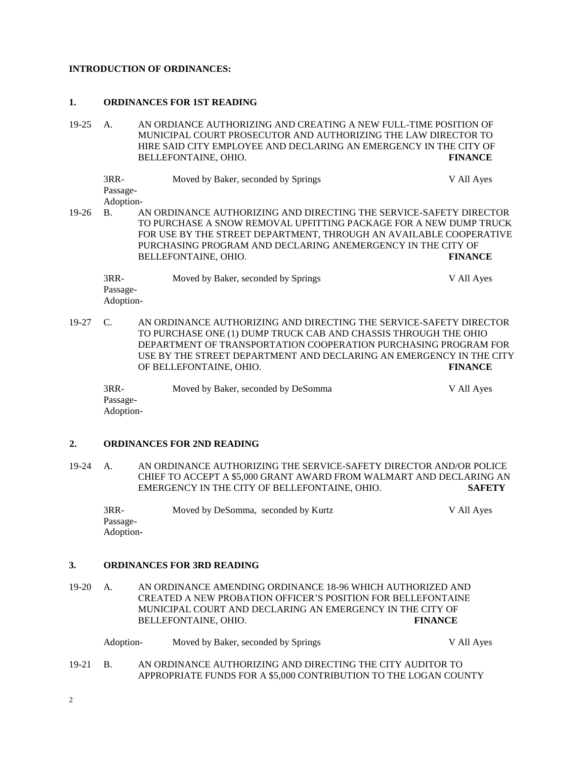#### **INTRODUCTION OF ORDINANCES:**

#### **1. ORDINANCES FOR 1ST READING**

19-25 A. AN ORDIANCE AUTHORIZING AND CREATING A NEW FULL-TIME POSITION OF MUNICIPAL COURT PROSECUTOR AND AUTHORIZING THE LAW DIRECTOR TO HIRE SAID CITY EMPLOYEE AND DECLARING AN EMERGENCY IN THE CITY OF BELLEFONTAINE, OHIO. **FINANCE**

3RR- Moved by Baker, seconded by Springs V All Ayes Passage-Adoption-19-26 B. AN ORDINANCE AUTHORIZING AND DIRECTING THE SERVICE-SAFETY DIRECTOR TO PURCHASE A SNOW REMOVAL UPFITTING PACKAGE FOR A NEW DUMP TRUCK FOR USE BY THE STREET DEPARTMENT, THROUGH AN AVAILABLE COOPERATIVE PURCHASING PROGRAM AND DECLARING ANEMERGENCY IN THE CITY OF BELLEFONTAINE, OHIO. **FINANCE** 3RR- Moved by Baker, seconded by Springs V All Ayes

Passage-Adoption-

19-27 C. AN ORDINANCE AUTHORIZING AND DIRECTING THE SERVICE-SAFETY DIRECTOR TO PURCHASE ONE (1) DUMP TRUCK CAB AND CHASSIS THROUGH THE OHIO DEPARTMENT OF TRANSPORTATION COOPERATION PURCHASING PROGRAM FOR USE BY THE STREET DEPARTMENT AND DECLARING AN EMERGENCY IN THE CITY OF BELLEFONTAINE, OHIO. **FINANCE**

3RR- Moved by Baker, seconded by DeSomma V All Ayes Passage-Adoption-

### **2. ORDINANCES FOR 2ND READING**

19-24 A. AN ORDINANCE AUTHORIZING THE SERVICE-SAFETY DIRECTOR AND/OR POLICE CHIEF TO ACCEPT A \$5,000 GRANT AWARD FROM WALMART AND DECLARING AN EMERGENCY IN THE CITY OF BELLEFONTAINE, OHIO. **SAFETY**

3RR- Moved by DeSomma, seconded by Kurtz V All Ayes Passage-Adoption-

#### **3. ORDINANCES FOR 3RD READING**

19-20 A. AN ORDINANCE AMENDING ORDINANCE 18-96 WHICH AUTHORIZED AND CREATED A NEW PROBATION OFFICER'S POSITION FOR BELLEFONTAINE MUNICIPAL COURT AND DECLARING AN EMERGENCY IN THE CITY OF BELLEFONTAINE, OHIO. **FINANCE**

| Adoption- | Moved by Baker, seconded by Springs | V All Ayes |
|-----------|-------------------------------------|------------|
|-----------|-------------------------------------|------------|

19-21 B. AN ORDINANCE AUTHORIZING AND DIRECTING THE CITY AUDITOR TO APPROPRIATE FUNDS FOR A \$5,000 CONTRIBUTION TO THE LOGAN COUNTY